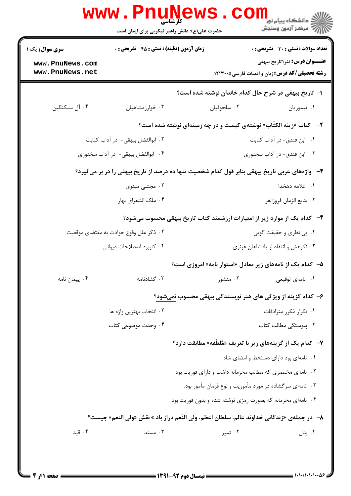|                                                                                                       | کارشناسی<br>حضرت علی(ع): دانش راهبر نیکویی برای ایمان است |                                                                            | د دانشگاه پيام نو <mark>ر</mark><br>ر آمرڪز آزمون وسنڊش                                       |  |  |
|-------------------------------------------------------------------------------------------------------|-----------------------------------------------------------|----------------------------------------------------------------------------|-----------------------------------------------------------------------------------------------|--|--|
| <b>سری سوال :</b> یک ۱                                                                                | <b>زمان آزمون (دقیقه) : تستی : 45 قشریحی : 0</b>          |                                                                            | <b>تعداد سوالات : تستی : 30 ٪ تشریحی : 0</b>                                                  |  |  |
| www.PnuNews.com<br>www.PnuNews.net                                                                    |                                                           |                                                                            | <b>عنـــوان درس:</b> نثر۱تاریخ بیهقی<br><b>رشته تحصیلی/کد درس:</b> زبان و ادبیات فارسی1۲۱۳۰۰۵ |  |  |
|                                                                                                       |                                                           | ا– تاریخ بیهقی در شرح حال کدام خاندان نوشته شده است؟                       |                                                                                               |  |  |
| ۰۴ آل سبکتگین                                                                                         | ۰۳ خوارزمشاهيان                                           | ٠٢ سلجوقيان                                                                | ۰۱ تیموریان                                                                                   |  |  |
|                                                                                                       |                                                           | <b>۲</b> - کتاب «زینه الکتّاب» نوشتهی کیست و در چه زمینهای نوشته شده است؟  |                                                                                               |  |  |
| ۰۲ ابوالفضل بیهقی- در آداب کتابت                                                                      |                                                           |                                                                            | ۰۱ ابن فندق- در آداب کتابت                                                                    |  |  |
| ۰۴ ابوالفضل بیهقی- در آداب سخنوری                                                                     |                                                           |                                                                            | ۰۳ ابن فندق- در آداب سخنوری                                                                   |  |  |
| <b>۳</b> - واژههای عربی تاریخ بیهقی بنابر قول کدام شخصیت تنها ده درصد از تاریخ بیهقی را در بر میگیرد؟ |                                                           |                                                                            |                                                                                               |  |  |
| ۰۲ مجتبی مینوی                                                                                        |                                                           |                                                                            | ٠١. علامه دهخدا                                                                               |  |  |
|                                                                                                       | ۰۴ ملک الشعرای بهار                                       | ٠٣ بديع الزمان فروزانفر                                                    |                                                                                               |  |  |
|                                                                                                       |                                                           | ۴–۔ کدام یک از موارد زیر از امتیازات ارزشمند کتاب تاریخ بیهقی محسوب میشود؟ |                                                                                               |  |  |
|                                                                                                       | ۰۲ ذکر علل وقوع حوادث به مقتضای موقعیت                    |                                                                            | ۰۱ بی نظری و حقیقت گویی                                                                       |  |  |
| ۰۴ کاربرد اصطلاحات دیوانی                                                                             |                                                           |                                                                            | ۰۳ نکوهش و انتقاد از پادشاهان غزنوی                                                           |  |  |
|                                                                                                       |                                                           | ۵– کدام یک از نامههای زیر معادل «استوار نامه» امروزی است؟                  |                                                                                               |  |  |
| ۰۴ پیمان نامه                                                                                         | ۰۳ گشادنامه                                               | ۰۲ منشور                                                                   | ۰۱ نامەي توقيع <u>ى</u>                                                                       |  |  |
|                                                                                                       |                                                           | ۶– کدام گزینه از ویژگی های هنر نویسندگی بیهقی محسوب نمیشود؟                |                                                                                               |  |  |
| ۰۲ انتخاب بهترين واژه ها                                                                              |                                                           |                                                                            | ۰۱ تکرار مُکرر مترادفات                                                                       |  |  |
|                                                                                                       | ۰۴ وحدت موضوعی کتاب                                       |                                                                            | ۰۳ پیوستگی مطالب کتاب                                                                         |  |  |
|                                                                                                       |                                                           | ۷- کدام یک از گزینههای زیر با تعریف «مُلطِّفه» مطابقت دارد؟                |                                                                                               |  |  |
|                                                                                                       |                                                           |                                                                            | ٠١ نامهای بود دارای دستخط و امضای شاه.                                                        |  |  |
|                                                                                                       |                                                           | ۰۲ نامهی مختصری که مطالب محرمانه داشت و دارای فوریت بود.                   |                                                                                               |  |  |
|                                                                                                       |                                                           | ۰۳ نامهای سرگشاده در مورد مأموریت و نوع فرمان مأمور بود.                   |                                                                                               |  |  |
|                                                                                                       |                                                           | ۰۴ نامهای محرمانه که بصورت رمزی نوشته شده و بدون فوریت بود.                |                                                                                               |  |  |
| ٨–  در جملهى «زندگانى خداوند عالم، سلطان اعظم، ولى النّعم دراز باد.» نقش «ولى النعم» چيست؟            |                                                           |                                                                            |                                                                                               |  |  |
| ۰۴ قید                                                                                                | ۰۳ مسند                                                   | ۰۲ تميز                                                                    | ۰۱ بدل                                                                                        |  |  |
|                                                                                                       |                                                           |                                                                            |                                                                                               |  |  |
|                                                                                                       |                                                           |                                                                            |                                                                                               |  |  |

 $= 1.1.1.1.1.1.$ ۸۱،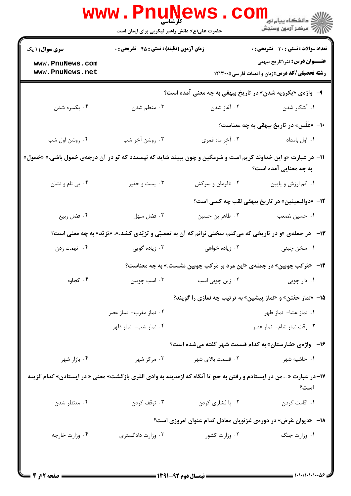|                                                                                                                   | حضرت علی(ع): دانش راهبر نیکویی برای ایمان است |                   | ڪ دانشڪاه پيام نور<br><mark>∕</mark> 7 مرڪز آزمون وسنڊش                                                |  |
|-------------------------------------------------------------------------------------------------------------------|-----------------------------------------------|-------------------|--------------------------------------------------------------------------------------------------------|--|
| <b>سری سوال : ۱ یک</b>                                                                                            | زمان آزمون (دقیقه) : تستی : ۴۵ قشریحی : 0     |                   | <b>تعداد سوالات : تستی : 30 ٪ تشریحی : 0</b>                                                           |  |
| www.PnuNews.com<br>www.PnuNews.net                                                                                |                                               |                   | <b>عنـــوان درس:</b> نثر ۱ تاریخ بیهقی                                                                 |  |
|                                                                                                                   |                                               |                   | <b>رشته تحصیلی/کد درس:</b> زبان و ادبیات فارسی1۲۱۳۰۰۵                                                  |  |
|                                                                                                                   |                                               |                   | ۹- واژهی «یکرویه شدن» در تاریخ بیهقی به چه معنی آمده است؟                                              |  |
| ۰۴ يكسره شدن                                                                                                      | ۰۳ منظم شدن                                   | ۰۲ آغاز شدن       | ۰۱ آشکار شدن                                                                                           |  |
|                                                                                                                   |                                               |                   | ۱۰- «غَلَس» در تاریخ بیهقی به چه معناست؟                                                               |  |
| ۰۴ روشن اول شب                                                                                                    | ۰۳ روشن آخِر شب                               | ۰۲ آخِر ماه قمري  | ٠١. اول بامداد                                                                                         |  |
| 11- در عبارت «و این خداوند کریم است و شرمگین و چون ببیند شاید که نپسندد که تو در آن درجهی خمول باشی.» «خمول»      |                                               |                   | به چه معنایی آمده است؟                                                                                 |  |
| ۰۴ بی نام و نشان                                                                                                  | ۰۳ پست و حقير                                 | ۰۲ نافرمان و سرکش | ۰۱ کم ارزش و پایین                                                                                     |  |
|                                                                                                                   |                                               |                   | ۱۲– «ذوالیمینین» در تاریخ بیهقی لقب چه کسی است؟                                                        |  |
| ۰۴ فضل ربيع                                                                                                       | ۰۳ فضل سهل                                    | ۰۲ طاهر بن حسين   | ١. حسين مُصعب                                                                                          |  |
|                                                                                                                   |                                               |                   | ۱۳- در جملهی «و در تاریخی که میکنم، سخنی نرانم که آن به تعصبّی و تزیّدی کشد.»، «تزیّد» به چه معنی است؟ |  |
| ۰۴ تهمت زدن                                                                                                       | ۰۳ زیاده گویی                                 | ۰۲ زیاده خواهی    | ۰۱ سخن چینی                                                                                            |  |
|                                                                                                                   |                                               |                   | <b>۱۴</b> - «مَرکب چوبین» در جملهی «این مرد بر مَرکب چوبین نشست.» به چه معناست؟                        |  |
| ۰۴ کجاوه                                                                                                          | ۰۳ اسب چوبین                                  | ۰۲ زین چوبی اسب   | ۰۱ دار چوبی                                                                                            |  |
|                                                                                                                   |                                               |                   | ۱۵- «نماز خفتن» و «نماز پیشین» به ترتیب چه نمازی را گویند؟                                             |  |
|                                                                                                                   | ۰۲ نماز مغرب- نماز عصر                        |                   | ۰۱ نماز عشا- نماز ظهر                                                                                  |  |
|                                                                                                                   | ۰۴ نماز شب- نماز ظهر                          |                   | ۰۳ وقت نماز شام- نماز عصر                                                                              |  |
|                                                                                                                   |                                               |                   | ۱۶– واژهی «شارستان» به کدام قسمت شهر گفته میشده است؟                                                   |  |
| ۰۴ بازار شهر                                                                                                      | ۰۳ مرکز شهر                                   | ۰۲ قسمت بالای شهر | ۰۱ حاشیه شهر                                                                                           |  |
| ۱۷–در عبارت « …من در ایستادم و رفتن به حج تا آنگاه که ازمدینه به وادی القری بازگشت» معنی « در ایستادن» کدام گزینه |                                               |                   | است؟                                                                                                   |  |
| ۰۴ منتظر شدن                                                                                                      | ۰۳ توقف کردن                                  | ۰۲ پا فشاري کردن  | ۰۱ اقامت کردن                                                                                          |  |
| <b>۱۸</b> - «دیوان عَرض» در دورهی غزنویان معادل کدام عنوان امروزی است؟                                            |                                               |                   |                                                                                                        |  |
| ۰۴ وزارت خارجه                                                                                                    | ۰۳ وزارت دادگستری                             | ۰۲ وزارت کشور     | ۰۱ وزارت جنگ                                                                                           |  |

 $= 1.1 - 11.1 - 11.09$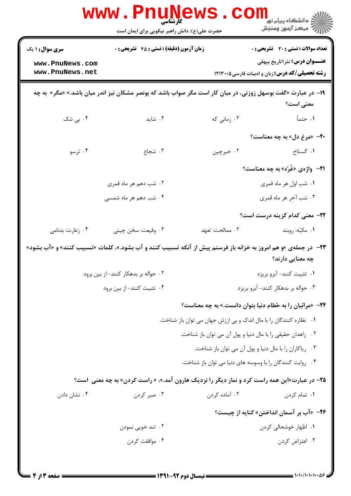|                                                                                                                                    | WWW.PI<br><b>کارشناسی</b><br>حضرت علی(ع): دانش راهبر نیکویی برای ایمان است                                   |                                                                   | ڪ دانشڪاه پيا <sub>م</sub> نور ■<br>/> مرڪز آزمون وسنڊش                                          |  |
|------------------------------------------------------------------------------------------------------------------------------------|--------------------------------------------------------------------------------------------------------------|-------------------------------------------------------------------|--------------------------------------------------------------------------------------------------|--|
| <b>سری سوال : ۱ یک</b>                                                                                                             | <b>زمان آزمون (دقیقه) : تستی : 45 تشریحی : 0</b>                                                             |                                                                   | تعداد سوالات : تستى : 30 - تشريحي : 0                                                            |  |
| www.PnuNews.com<br>www.PnuNews.net                                                                                                 |                                                                                                              |                                                                   | <b>عنـــوان درس:</b> نثر ۱تاریخ بیهقی<br><b>رشته تحصیلی/کد درس: :</b> زبان و ادبیات فارسی۱۲۱۳۰۰۵ |  |
|                                                                                                                                    | ۱۹- در عبارت «گفت بوسهل زوزنی، در میان کار است مگر صواب باشد که بونصر مشکان نیز اندر میان باشد.» «مگر» به چه |                                                                   | معنی است؟                                                                                        |  |
| ۰۴ بی شک                                                                                                                           | $\cdot$ ۴ شاید                                                                                               | ۲. زمانی که                                                       | ١. حتماً                                                                                         |  |
|                                                                                                                                    |                                                                                                              |                                                                   | <b>۳۰</b> «مرغ دل» به چه معناست؟                                                                 |  |
| ۰۴ ترسو                                                                                                                            | ۰۳ شجاع                                                                                                      | ۰۲ خبرچين                                                         | ۰۱ گستاخ                                                                                         |  |
|                                                                                                                                    |                                                                                                              |                                                                   | <b>۲۱</b> - واژەي «غُرّە» بە چە معناست؟                                                          |  |
|                                                                                                                                    | ۰۲ شب دهم هر ماه قمری                                                                                        |                                                                   | ۰۱ شب اول هر ماه قمري                                                                            |  |
|                                                                                                                                    | ۰۴ شب دهم هر ماه شمسی                                                                                        |                                                                   | ۰۳ شب آخِر هر ماه قمري                                                                           |  |
|                                                                                                                                    |                                                                                                              |                                                                   | <b>۲۲</b> – معنی کدام گزینه درست است؟                                                            |  |
| ۰۴ زعارت: بدنامی                                                                                                                   | ۰۳ وقیعت: سخن چینی                                                                                           | ٠٢ ممالحت: تعهد                                                   | ۰۱ مکبُه: روبند                                                                                  |  |
| ۲۳- در جملهی «و هم امروز به خزانه باز فرستم پیش از آنکه تسبیب کنند و آب بشود.»، کلمات «تسبیب کنند» و «آب بشود»<br>چه معنایی دارند؟ |                                                                                                              |                                                                   |                                                                                                  |  |
|                                                                                                                                    | ۰۲ حواله بر بدهکار کنند- از بین برود                                                                         |                                                                   | ۰۱ تثبیت کنند- آبرو بریزد                                                                        |  |
|                                                                                                                                    | ۰۴ تثبیت کنند- از بین برود                                                                                   |                                                                   | ۰۳ حواله بر بدهکار کنند- آبرو بریزد                                                              |  |
|                                                                                                                                    |                                                                                                              | ۲۴− «مرائیان را به حُطام دنیا بتوان دانست.» به چه معناست؟         |                                                                                                  |  |
|                                                                                                                                    |                                                                                                              | ۰۱ نظاره کنندگان را با مال اندک و بی ارزش جهان می توان باز شناخت. |                                                                                                  |  |
|                                                                                                                                    |                                                                                                              | ٠٢ زاهدان حقيقي را با مال دنيا و پول آن مي توان باز شناخت.        |                                                                                                  |  |
|                                                                                                                                    |                                                                                                              | ۰۳ ریاکاران را با مال دنیا و پول آن می توان باز شناخت.            |                                                                                                  |  |
|                                                                                                                                    |                                                                                                              | ۰۴ روایت کنندگان را با وسوسه های دنیا می توان باز شناخت.          |                                                                                                  |  |
|                                                                                                                                    | <b>۲۵</b> - در عبارت«این همه راست کرد و نماز دیگر را نزدیک هارون آمد.»، « راست کردن» به چه معنی است؟         |                                                                   |                                                                                                  |  |
| ۰۴ نشان دادن                                                                                                                       | ۰۳ صبر کردن                                                                                                  | ۰۲ آماده کردن                                                     | ۰۱ تمام کردن                                                                                     |  |
|                                                                                                                                    |                                                                                                              |                                                                   | ۲۶− «آب بر آسمان انداختن» کنایه از چیست؟                                                         |  |
|                                                                                                                                    | ۰۲ تند خويي نمودن                                                                                            |                                                                   | ۰۱ اظهار خوشحالی کردن                                                                            |  |
|                                                                                                                                    | ۰۴ موافقت کردن                                                                                               |                                                                   | ۰۳ اعتراض کردن                                                                                   |  |
|                                                                                                                                    |                                                                                                              |                                                                   |                                                                                                  |  |

 $= 1.1 \cdot 1.1 \cdot 1.1 \cdot 0.8$